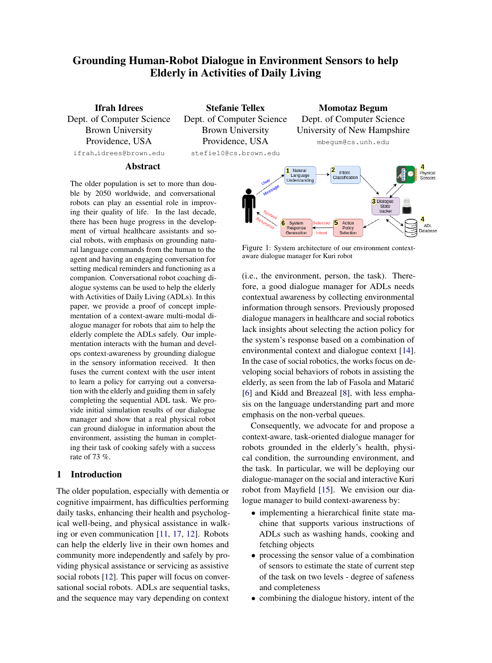# Grounding Human-Robot Dialogue in Environment Sensors to help Elderly in Activities of Daily Living

Ifrah Idrees Dept. of Computer Science Brown University Providence, USA ifrah idrees@brown.edu

Stefanie Tellex Dept. of Computer Science Brown University Providence, USA stefie10@cs.brown.edu

Momotaz Begum Dept. of Computer Science University of New Hampshire mbegum@cs.unh.edu

## Abstract

The older population is set to more than double by 2050 worldwide, and conversational robots can play an essential role in improving their quality of life. In the last decade, there has been huge progress in the development of virtual healthcare assistants and social robots, with emphasis on grounding natural language commands from the human to the agent and having an engaging conversation for setting medical reminders and functioning as a companion. Conversational robot coaching dialogue systems can be used to help the elderly with Activities of Daily Living (ADLs). In this paper, we provide a proof of concept implementation of a context-aware multi-modal dialogue manager for robots that aim to help the elderly complete the ADLs safely. Our implementation interacts with the human and develops context-awareness by grounding dialogue in the sensory information received. It then fuses the current context with the user intent to learn a policy for carrying out a conversation with the elderly and guiding them in safely completing the sequential ADL task. We provide initial simulation results of our dialogue manager and show that a real physical robot can ground dialogue in information about the environment, assisting the human in completing their task of cooking safely with a success rate of 73 %.

# 1 Introduction

The older population, especially with dementia or cognitive impairment, has difficulties performing daily tasks, enhancing their health and psychological well-being, and physical assistance in walking or even communication [\[11,](#page-4-0) [17,](#page-4-1) [12\]](#page-4-2). Robots can help the elderly live in their own homes and community more independently and safely by providing physical assistance or servicing as assistive social robots [\[12\]](#page-4-2). This paper will focus on conversational social robots. ADLs are sequential tasks, and the sequence may vary depending on context

<span id="page-0-0"></span>

Figure 1: System architecture of our environment contextaware dialogue manager for Kuri robot

(i.e., the environment, person, the task). Therefore, a good dialogue manager for ADLs needs contextual awareness by collecting environmental information through sensors. Previously proposed dialogue managers in healthcare and social robotics lack insights about selecting the action policy for the system's response based on a combination of environmental context and dialogue context [\[14\]](#page-4-3). In the case of social robotics, the works focus on developing social behaviors of robots in assisting the elderly, as seen from the lab of Fasola and Mataric´ [\[6\]](#page-4-4) and Kidd and Breazeal [\[8\]](#page-4-5), with less emphasis on the language understanding part and more emphasis on the non-verbal queues.

Consequently, we advocate for and propose a context-aware, task-oriented dialogue manager for robots grounded in the elderly's health, physical condition, the surrounding environment, and the task. In particular, we will be deploying our dialogue-manager on the social and interactive Kuri robot from Mayfield [\[15\]](#page-4-6). We envision our dialogue manager to build context-awareness by:

- implementing a hierarchical finite state machine that supports various instructions of ADLs such as washing hands, cooking and fetching objects
- processing the sensor value of a combination of sensors to estimate the state of current step of the task on two levels - degree of safeness and completeness
- combining the dialogue history, intent of the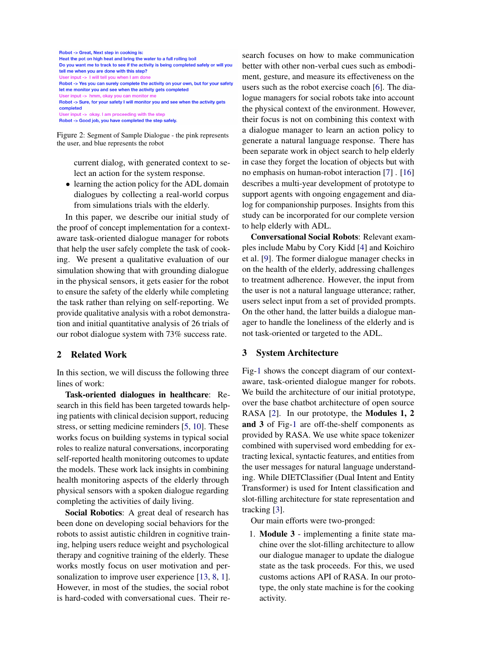<span id="page-1-0"></span>Robot -> Great, Next step in cooking is: Heat the pot on high heat and bring the water to a full rolling boil Do you want me to track to see if the activity is being completed safely or will you tell me when you are done with this step? I will tell you when I am Robot -> Yes you can surely complete the activity on your own, but for your safety let me monitor you and see when the activity gets completed User input -> hmm. okay you c an monitor i Robot -> Sure, for your safety I will monitor you and see when the activity gets completed User input -> okay. I am proceeding with the step

Robot -> Good job, you have completed the step safely

Figure 2: Segment of Sample Dialogue - the pink represents the user, and blue represents the robot

> current dialog, with generated context to select an action for the system response.

• learning the action policy for the ADL domain dialogues by collecting a real-world corpus from simulations trials with the elderly.

In this paper, we describe our initial study of the proof of concept implementation for a contextaware task-oriented dialogue manager for robots that help the user safely complete the task of cooking. We present a qualitative evaluation of our simulation showing that with grounding dialogue in the physical sensors, it gets easier for the robot to ensure the safety of the elderly while completing the task rather than relying on self-reporting. We provide qualitative analysis with a robot demonstration and initial quantitative analysis of 26 trials of our robot dialogue system with 73% success rate.

#### 2 Related Work

In this section, we will discuss the following three lines of work:

Task-oriented dialogues in healthcare: Research in this field has been targeted towards helping patients with clinical decision support, reducing stress, or setting medicine reminders [\[5,](#page-4-7) [10\]](#page-4-8). These works focus on building systems in typical social roles to realize natural conversations, incorporating self-reported health monitoring outcomes to update the models. These work lack insights in combining health monitoring aspects of the elderly through physical sensors with a spoken dialogue regarding completing the activities of daily living.

Social Robotics: A great deal of research has been done on developing social behaviors for the robots to assist autistic children in cognitive training, helping users reduce weight and psychological therapy and cognitive training of the elderly. These works mostly focus on user motivation and per-sonalization to improve user experience [\[13,](#page-4-9) [8,](#page-4-5) [1\]](#page-4-10). However, in most of the studies, the social robot is hard-coded with conversational cues. Their re-

search focuses on how to make communication better with other non-verbal cues such as embodiment, gesture, and measure its effectiveness on the users such as the robot exercise coach [\[6\]](#page-4-4). The dialogue managers for social robots take into account the physical context of the environment. However, their focus is not on combining this context with a dialogue manager to learn an action policy to generate a natural language response. There has been separate work in object search to help elderly in case they forget the location of objects but with no emphasis on human-robot interaction [\[7\]](#page-4-11) . [\[16\]](#page-4-12) describes a multi-year development of prototype to support agents with ongoing engagement and dialog for companionship purposes. Insights from this study can be incorporated for our complete version to help elderly with ADL.

Conversational Social Robots: Relevant examples include Mabu by Cory Kidd [\[4\]](#page-4-13) and Koichiro et al. [\[9\]](#page-4-14). The former dialogue manager checks in on the health of the elderly, addressing challenges to treatment adherence. However, the input from the user is not a natural language utterance; rather, users select input from a set of provided prompts. On the other hand, the latter builds a dialogue manager to handle the loneliness of the elderly and is not task-oriented or targeted to the ADL.

#### 3 System Architecture

Fig[-1](#page-0-0) shows the concept diagram of our contextaware, task-oriented dialogue manger for robots. We build the architecture of our initial prototype, over the base chatbot architecture of open source RASA [\[2\]](#page-4-15). In our prototype, the **Modules 1, 2** and 3 of Fig[-1](#page-0-0) are off-the-shelf components as provided by RASA. We use white space tokenizer combined with supervised word embedding for extracting lexical, syntactic features, and entities from the user messages for natural language understanding. While DIETClassifier (Dual Intent and Entity Transformer) is used for Intent classification and slot-filling architecture for state representation and tracking [\[3\]](#page-4-16).

Our main efforts were two-pronged:

1. Module 3 - implementing a finite state machine over the slot-filling architecture to allow our dialogue manager to update the dialogue state as the task proceeds. For this, we used customs actions API of RASA. In our prototype, the only state machine is for the cooking activity.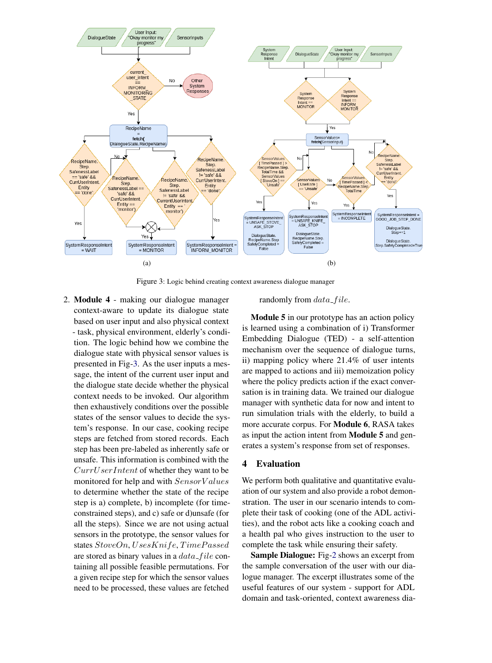<span id="page-2-0"></span>

Figure 3: Logic behind creating context awareness dialogue manager

2. Module 4 - making our dialogue manager context-aware to update its dialogue state based on user input and also physical context - task, physical environment, elderly's condition. The logic behind how we combine the dialogue state with physical sensor values is presented in Fig[-3.](#page-2-0) As the user inputs a message, the intent of the current user input and the dialogue state decide whether the physical context needs to be invoked. Our algorithm then exhaustively conditions over the possible states of the sensor values to decide the system's response. In our case, cooking recipe steps are fetched from stored records. Each step has been pre-labeled as inherently safe or unsafe. This information is combined with the CurrUserIntent of whether they want to be monitored for help and with  $SensorValues$ to determine whether the state of the recipe step is a) complete, b) incomplete (for timeconstrained steps), and c) safe or d)unsafe (for all the steps). Since we are not using actual sensors in the prototype, the sensor values for states StoveOn, UsesKnife, TimePassed are stored as binary values in a  $data$ -file containing all possible feasible permutations. For a given recipe step for which the sensor values need to be processed, these values are fetched

randomly from  $data$ -file.

Module 5 in our prototype has an action policy is learned using a combination of i) Transformer Embedding Dialogue (TED) - a self-attention mechanism over the sequence of dialogue turns, ii) mapping policy where 21.4% of user intents are mapped to actions and iii) memoization policy where the policy predicts action if the exact conversation is in training data. We trained our dialogue manager with synthetic data for now and intent to run simulation trials with the elderly, to build a more accurate corpus. For Module 6, RASA takes as input the action intent from Module 5 and generates a system's response from set of responses.

# 4 Evaluation

We perform both qualitative and quantitative evaluation of our system and also provide a robot demonstration. The user in our scenario intends to complete their task of cooking (one of the ADL activities), and the robot acts like a cooking coach and a health pal who gives instruction to the user to complete the task while ensuring their safety.

Sample Dialogue: Fig[-2](#page-1-0) shows an excerpt from the sample conversation of the user with our dialogue manager. The excerpt illustrates some of the useful features of our system - support for ADL domain and task-oriented, context awareness dia-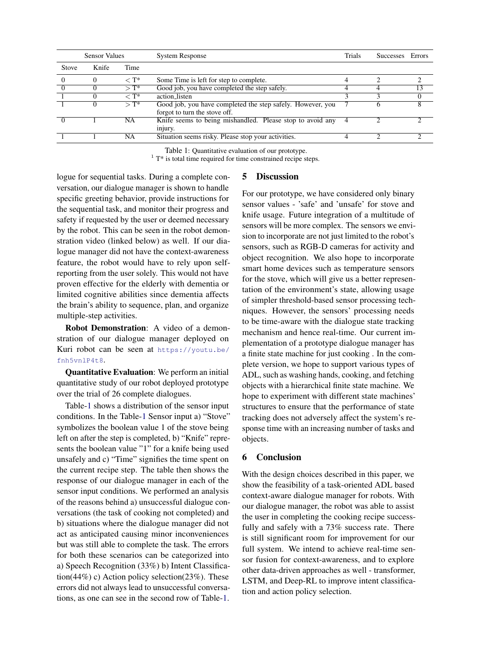<span id="page-3-0"></span>

| <b>Sensor Values</b> |          |                     | <b>System Response</b>                                                                      | Trials | <b>Successes</b> | Errors |
|----------------------|----------|---------------------|---------------------------------------------------------------------------------------------|--------|------------------|--------|
| Stove                | Knife    | Time                |                                                                                             |        |                  |        |
|                      | $\theta$ | $\rm < T^{*}$       | Some Time is left for step to complete.                                                     | 4      |                  |        |
|                      |          | $\mathcal{F}$       | Good job, you have completed the step safely.                                               |        |                  | 13     |
|                      |          | $<$ T*              | action listen                                                                               |        |                  |        |
|                      | 0        | $\triangleright$ T* | Good job, you have completed the step safely. However, you<br>forgot to turn the stove off. |        | n                | Δ      |
|                      |          | NA                  | Knife seems to being mishandled. Please stop to avoid any<br>injury.                        | 4      |                  |        |
|                      |          | NA                  | Situation seems risky. Please stop your activities.                                         | ⊿      |                  |        |

Table 1: Quantitative evaluation of our prototype.

 $1$ <sup>1</sup> T\* is total time required for time constrained recipe steps.

logue for sequential tasks. During a complete conversation, our dialogue manager is shown to handle specific greeting behavior, provide instructions for the sequential task, and monitor their progress and safety if requested by the user or deemed necessary by the robot. This can be seen in the robot demonstration video (linked below) as well. If our dialogue manager did not have the context-awareness feature, the robot would have to rely upon selfreporting from the user solely. This would not have proven effective for the elderly with dementia or limited cognitive abilities since dementia affects the brain's ability to sequence, plan, and organize multiple-step activities.

Robot Demonstration: A video of a demonstration of our dialogue manager deployed on Kuri robot can be seen at [https://youtu.be/](https://youtu.be/fnh5vnlP4t8) [fnh5vnlP4t8](https://youtu.be/fnh5vnlP4t8).

Quantitative Evaluation: We perform an initial quantitative study of our robot deployed prototype over the trial of 26 complete dialogues.

Table[-1](#page-3-0) shows a distribution of the sensor input conditions. In the Table[-1](#page-3-0) Sensor input a) "Stove" symbolizes the boolean value 1 of the stove being left on after the step is completed, b) "Knife" represents the boolean value "1" for a knife being used unsafely and c) "Time" signifies the time spent on the current recipe step. The table then shows the response of our dialogue manager in each of the sensor input conditions. We performed an analysis of the reasons behind a) unsuccessful dialogue conversations (the task of cooking not completed) and b) situations where the dialogue manager did not act as anticipated causing minor inconveniences but was still able to complete the task. The errors for both these scenarios can be categorized into a) Speech Recognition (33%) b) Intent Classification(44%) c) Action policy selection(23%). These errors did not always lead to unsuccessful conversations, as one can see in the second row of Table[-1.](#page-3-0)

# 5 Discussion

For our prototype, we have considered only binary sensor values - 'safe' and 'unsafe' for stove and knife usage. Future integration of a multitude of sensors will be more complex. The sensors we envision to incorporate are not just limited to the robot's sensors, such as RGB-D cameras for activity and object recognition. We also hope to incorporate smart home devices such as temperature sensors for the stove, which will give us a better representation of the environment's state, allowing usage of simpler threshold-based sensor processing techniques. However, the sensors' processing needs to be time-aware with the dialogue state tracking mechanism and hence real-time. Our current implementation of a prototype dialogue manager has a finite state machine for just cooking . In the complete version, we hope to support various types of ADL, such as washing hands, cooking, and fetching objects with a hierarchical finite state machine. We hope to experiment with different state machines' structures to ensure that the performance of state tracking does not adversely affect the system's response time with an increasing number of tasks and objects.

# 6 Conclusion

With the design choices described in this paper, we show the feasibility of a task-oriented ADL based context-aware dialogue manager for robots. With our dialogue manager, the robot was able to assist the user in completing the cooking recipe successfully and safely with a 73% success rate. There is still significant room for improvement for our full system. We intend to achieve real-time sensor fusion for context-awareness, and to explore other data-driven approaches as well - transformer, LSTM, and Deep-RL to improve intent classification and action policy selection.